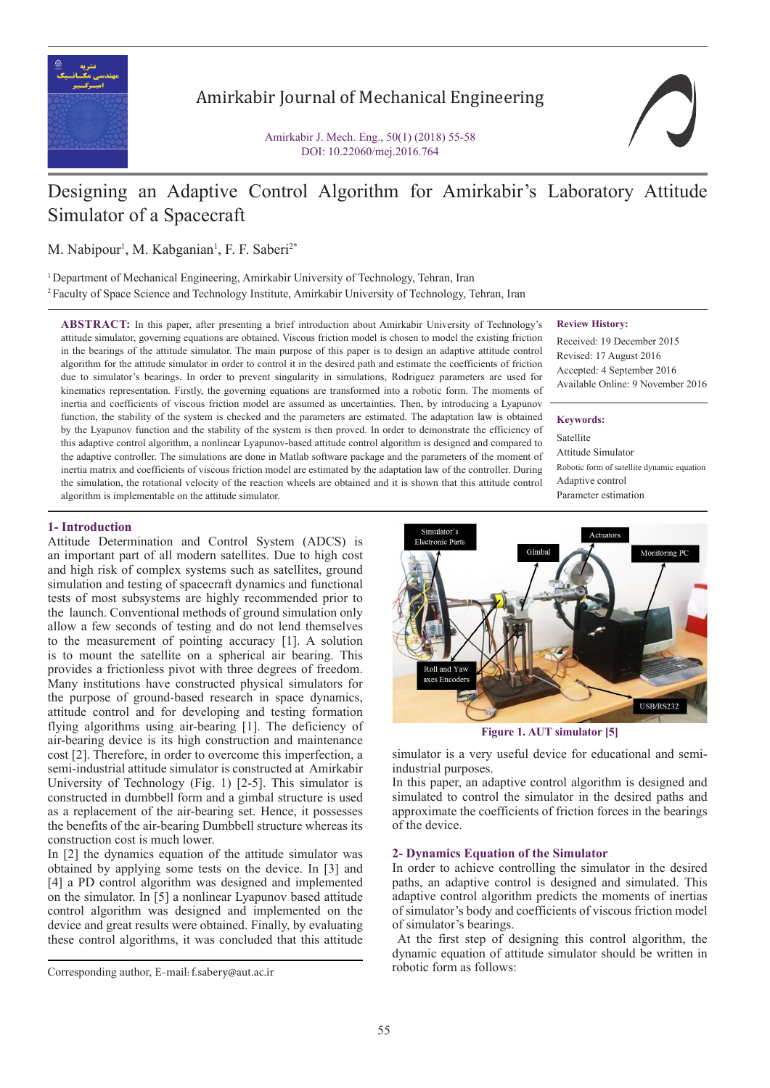

# Amirkabir Journal of Mechanical Engineering

Amirkabir J. Mech. Eng., 50(1) (2018) 55-58 DOI: 10.22060/mej.2016.764

# Designing an Adaptive Control Algorithm for Amirkabir's Laboratory Attitude Simulator of a Spacecraft

M. Nabipour<sup>1</sup>, M. Kabganian<sup>1</sup>, F. F. Saberi<sup>2\*</sup>

<sup>1</sup> Department of Mechanical Engineering, Amirkabir University of Technology, Tehran, Iran <sup>2</sup> Faculty of Space Science and Technology Institute, Amirkabir University of Technology, Tehran, Iran

**ABSTRACT:** In this paper, after presenting a brief introduction about Amirkabir University of Technology's attitude simulator, governing equations are obtained. Viscous friction model is chosen to model the existing friction in the bearings of the attitude simulator. The main purpose of this paper is to design an adaptive attitude control algorithm for the attitude simulator in order to control it in the desired path and estimate the coefficients of friction due to simulator's bearings. In order to prevent singularity in simulations, Rodriguez parameters are used for kinematics representation. Firstly, the governing equations are transformed into a robotic form. The moments of inertia and coefficients of viscous friction model are assumed as uncertainties. Then, by introducing a Lyapunov function, the stability of the system is checked and the parameters are estimated. The adaptation law is obtained by the Lyapunov function and the stability of the system is then proved. In order to demonstrate the efficiency of this adaptive control algorithm, a nonlinear Lyapunov-based attitude control algorithm is designed and compared to the adaptive controller. The simulations are done in Matlab software package and the parameters of the moment of inertia matrix and coefficients of viscous friction model are estimated by the adaptation law of the controller. During the simulation, the rotational velocity of the reaction wheels are obtained and it is shown that this attitude control algorithm is implementable on the attitude simulator.

### **Review History:**

Received: 19 December 2015 Revised: 17 August 2016 Accepted: 4 September 2016 Available Online: 9 November 2016

#### **Keywords:**

Satellite Attitude Simulator Robotic form of satellite dynamic equation Adaptive control Parameter estimation

# **1- Introduction**

Attitude Determination and Control System (ADCS) is an important part of all modern satellites. Due to high cost and high risk of complex systems such as satellites, ground simulation and testing of spacecraft dynamics and functional tests of most subsystems are highly recommended prior to the launch. Conventional methods of ground simulation only allow a few seconds of testing and do not lend themselves to the measurement of pointing accuracy [1]. A solution is to mount the satellite on a spherical air bearing. This provides a frictionless pivot with three degrees of freedom. Many institutions have constructed physical simulators for the purpose of ground-based research in space dynamics, attitude control and for developing and testing formation flying algorithms using air-bearing [1]. The deficiency of air-bearing device is its high construction and maintenance cost [2]. Therefore, in order to overcome this imperfection, a semi-industrial attitude simulator is constructed at Amirkabir University of Technology (Fig. 1) [2-5]. This simulator is constructed in dumbbell form and a gimbal structure is used as a replacement of the air-bearing set. Hence, it possesses the benefits of the air-bearing Dumbbell structure whereas its construction cost is much lower.

In [2] the dynamics equation of the attitude simulator was obtained by applying some tests on the device. In [3] and [4] a PD control algorithm was designed and implemented on the simulator. In [5] a nonlinear Lyapunov based attitude control algorithm was designed and implemented on the device and great results were obtained. Finally, by evaluating these control algorithms, it was concluded that this attitude



**Figure 1. AUT simulator [5]**

simulator is a very useful device for educational and semiindustrial purposes.

In this paper, an adaptive control algorithm is designed and simulated to control the simulator in the desired paths and approximate the coefficients of friction forces in the bearings of the device.

#### **2- Dynamics Equation of the Simulator**

In order to achieve controlling the simulator in the desired paths, an adaptive control is designed and simulated. This adaptive control algorithm predicts the moments of inertias of simulator's body and coefficients of viscous friction model of simulator's bearings.

 At the first step of designing this control algorithm, the dynamic equation of attitude simulator should be written in

robotic form as follows: Corresponding author, E-mail: f.sabery@aut.ac.ir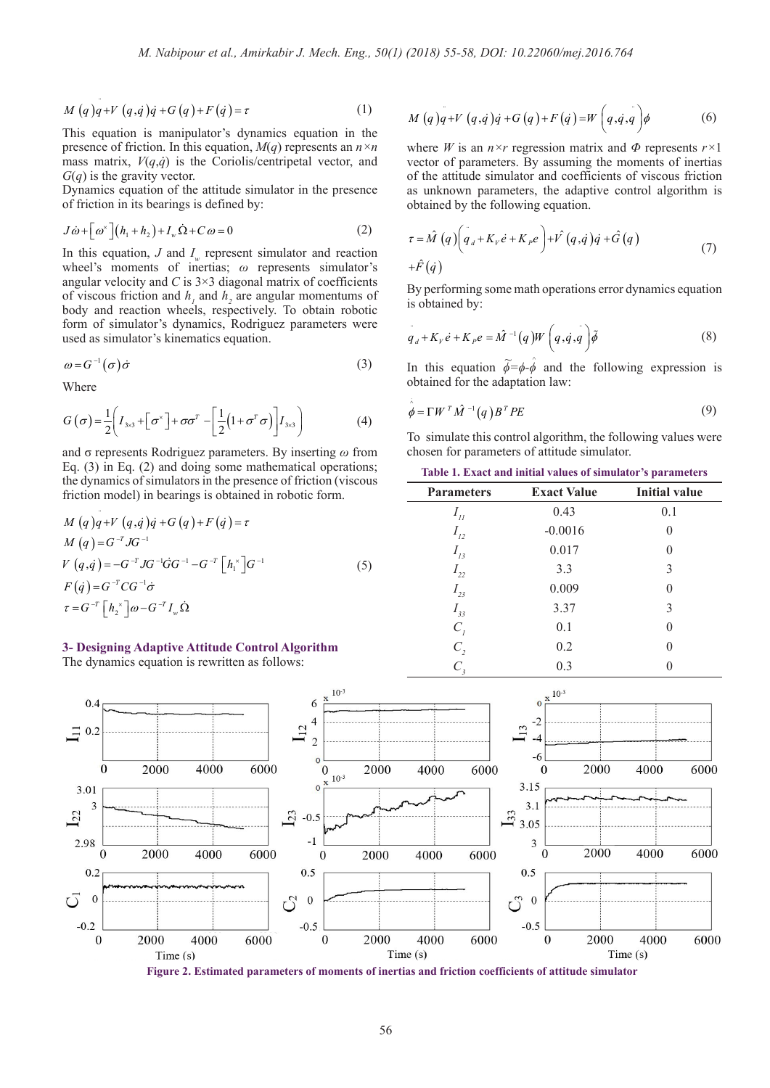$$
M(q)q + V(q,q)q + G(q) + F(q) = \tau
$$
\n(1)

presence of friction. In this equation,  $M(q)$  represents an  $n \times n$ <br>were matrix.  $V(x, \lambda)$  is the Capitalia/apptointatel vector and mass matrix,  $V(q, \dot{q})$  is the Coriolis/centripetal vector, and This equation is manipulator's dynamics equation in the *G*(*q*) is the gravity vector.

*G*(*q*) is an grating (cover). of friction in its bearings is defined by:

$$
J\dot{\omega} + \left[\omega^{\times}\right](h_1 + h_2) + I_w \dot{\Omega} + C \omega = 0
$$
 (2)  
In this equation, J and  $I_w$  represent simulator and reaction

 $\frac{d}{dt}$  (*M*) (*M*) (*M*) (*M*) (*A*) (*A*) (*A*) (*A*) (*A*) (*A*) (*A*) (*A*) (*A*) (*A*) (*A*) (*A*) (*A*) (*A*) (*A*) (*A*) (*A*) (*A*) (*A*) (*A*) (*A*) (*A*) (*A*) (*A*) (*A*) (*A*) (*A*) (*A*) (*A*) (*A*) (*A*) ( **body and reaction wheels, respectively. To obtain robotic** form of cinylator's dynamics. Bedriesses respectively from or simulator's dynamics, Rodrige<br>used as simulator's kinematics equation. angular velocity and  $C$  is  $3 \times 3$  diagonal matrix of coefficients body and reaction wheels, respectively. To obtain robotic<br>form of simulator's dynamics, Rodriguez parameters were wheel's moments of inertias; *ω* represents simulator's used as simulator's kinematics equation

$$
\omega = G^{-1}(\sigma)\dot{\sigma}
$$
 (3)

Where + + + Ω+ =

 $\mathbb{Z}^2$ 

and the state of the state.

$$
G(\sigma) = \frac{1}{2} \left( I_{3\times 3} + \left[ \sigma^{\times} \right] + \sigma \sigma^T - \left[ \frac{1}{2} \left( 1 + \sigma^T \sigma \right) \right] I_{3\times 3} \right)
$$
(4)

 $\mathcal{L}$ **(**  $\mathcal{L}$ )  $\mathcal{L}$  ( $\mathcal{L}$ ) and doing some mathematic property the dynamics of simulators in the presence of friction model) in bearings is obtained in robotic form. Eq. (3) in Eq. (2) and doing some mathe Eq. (3) in Eq. (2) and doing some mathematical operations;<br>the dynamics of simulators in the presence of friction (viscous and  $\sigma$  represents Rodriguez parameters. By inserting  $\omega$  from ( ) , where  $\mathcal{L}_\text{max}$ *V q q G JG GG G h G G*  $(\sigma) = \frac{1}{2} \left[ I_{3\times 3} + \left[ \sigma^x \right] + \sigma \sigma^T - \left[ \frac{1}{2} (1 + \sigma^T \sigma) \right] I_{3\times 3} \right)$  (4)<br>and  $\sigma$  represents Rodriguez parameters. By inserting  $\omega$  from<br>Eq. (3) in Eq. (2) and doing some mathematical operations;<br>the dynamic

$$
M (q)q+V (q, \dot{q})\dot{q} + G (q) + F (\dot{q}) = \tau
$$
  
\n
$$
M (q) = G^{-T} J G^{-1}
$$
  
\n
$$
V (q, \dot{q}) = -G^{-T} J G^{-1} \dot{G} G^{-1} - G^{-T} [h_1^*] G^{-1}
$$
  
\n
$$
F (\dot{q}) = G^{-T} C G^{-1} \dot{\sigma}
$$
  
\n
$$
\tau = G^{-T} [h_2^*] \omega - G^{-T} I_w \dot{\Omega}
$$
\n(5)

#### **3- Designing Adaptive Attitude Control Al 3- Designing Adaptive Attitude Control Algorithm**<br>The dynamics equation is rewritten as follows: **3- Designing Adaptive Attitude Control Algo**<br>The dynamics equation is rewritten as follows:

The dynamics equation is rewritten as follow

$$
M(q)q+V(q,q)q+G(q)+F(q)=W(q,q,q)q \qquad (6)
$$

( ) ( ) ( ) , *d V P M q q K e K e V qq q G q* τ obtained by the following equation. vector of parameters. By assuming the moments of inertias of the ottitude simulator and coefficients of viscous friction of the attitude simulator and coefficients of viscous friction<br>as unknown parameters, the adaptive control algorithm is vector of parameters. By assuming the moments of inertias of the attitude simulator and coefficients of viscous friction where *W* is an  $n \times r$  regression matrix and  $\Phi$  represents  $r \times 1$ *T* attitude simulato

$$
\tau = \hat{M} \left( q \right) \left( \sigma_d + K_{\nu} \dot{e} + K_{\rho} e \right) + V \left( q, \dot{q} \right) \dot{q} + \hat{G} \left( q \right) + \hat{F} \left( \dot{q} \right)
$$
\n
$$
(7)
$$

*E*<br>*B* performing some main operations<br>is obtained by: *By performing some math operations error dynamics equation*  $\left(\frac{4}{4}\right)$ <br>y performing some math operations en

$$
q_d + K_V \dot{e} + K_P e = \hat{M}^{-1}(q)W\left(q, \dot{q}, q\right) \tilde{\phi}
$$
 (8)  
In this equation  $\tilde{\phi} = \phi \cdot \hat{\phi}$  and the following expression is

In this equation  $\tilde{\phi} = \phi \cdot \hat{\phi}$  and the following expression is obtained for the adaptation law: *W M q B PE*

$$
\hat{\phi} = \Gamma W^T \hat{M}^{-1}(q) B^T P E \tag{9}
$$

To simulate this control algorithm, the following values were chosen for parameters of attitude simulator.

**Table 1. Exact and initial values of simulator's parameters**

| <b>Parameters</b> | <b>Exact Value</b> | <b>Initial value</b> |
|-------------------|--------------------|----------------------|
| $I_{ll}$          | 0.43               | 0.1                  |
| $I_{12}$          | $-0.0016$          | $\theta$             |
| $I_{13}$          | 0.017              | 0                    |
| $I_{22}$          | 3.3                | 3                    |
| $I_{23}$          | 0.009              | $\Omega$             |
| $I_{33}$          | 3.37               | 3                    |
| $C_{I}$           | 0.1                | 0                    |
| $C_{2}$           | 0.2                | 0                    |
|                   | 0.3                |                      |



**Figure 2. Estimated parameters of moments of inertias and friction coefficients of attitude simulator**